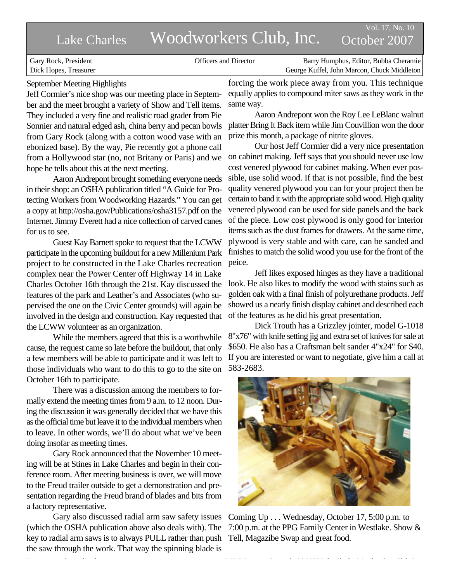# Lake Charles Woodworkers Club, Inc. October 2007

Vol. 17, No. 10

 Gary Rock, President Officers and Director Barry Humphus, Editor, Bubba Cheramie Dick Hopes, Treasurer George Kuffel, John Marcon, Chuck Middleton

# September Meeting Highlights

Jeff Cormier's nice shop was our meeting place in September and the meet brought a variety of Show and Tell items. They included a very fine and realistic road grader from Pie Sonnier and natural edged ash, china berry and pecan bowls from Gary Rock (along with a cotton wood vase with an ebonized base). By the way, Pie recently got a phone call from a Hollywood star (no, not Britany or Paris) and we hope he tells about this at the next meeting.

Aaron Andrepont brought something everyone needs in their shop: an OSHA publication titled "A Guide for Protecting Workers from Woodworking Hazards." You can get a copy at http://osha.gov/Publications/osha3157.pdf on the Internet. Jimmy Everett had a nice collection of carved canes for us to see.

Guest Kay Barnett spoke to request that the LCWW participate in the upcoming buildout for a new Millenium Park project to be constructed in the Lake Charles recreation complex near the Power Center off Highway 14 in Lake Charles October 16th through the 21st. Kay discussed the features of the park and Leather's and Associates (who supervised the one on the Civic Center grounds) will again be involved in the design and construction. Kay requested that the LCWW volunteer as an organization.

While the members agreed that this is a worthwhile cause, the request came so late before the buildout, that only a few members will be able to participate and it was left to those individuals who want to do this to go to the site on October 16th to participate.

There was a discussion among the members to formally extend the meeting times from 9 a.m. to 12 noon. During the discussion it was generally decided that we have this as the official time but leave it to the individual members when to leave. In other words, we'll do about what we've been doing insofar as meeting times.

Gary Rock announced that the November 10 meeting will be at Stines in Lake Charles and begin in their conference room. After meeting business is over, we will move to the Freud trailer outside to get a demonstration and presentation regarding the Freud brand of blades and bits from a factory representative.

Gary also discussed radial arm saw safety issues (which the OSHA publication above also deals with). The key to radial arm saws is to always PULL rather than push the saw through the work. That way the spinning blade is

forcing the work piece away from you. This technique equally applies to compound miter saws as they work in the same way.

Aaron Andrepont won the Roy Lee LeBlanc walnut platter Bring It Back item while Jim Couvillion won the door prize this month, a package of nitrite gloves.

Our host Jeff Cormier did a very nice presentation on cabinet making. Jeff says that you should never use low cost venered plywood for cabinet making. When ever possible, use solid wood. If that is not possible, find the best quality venered plywood you can for your project then be certain to band it with the appropriate solid wood. High quality venered plywood can be used for side panels and the back of the piece. Low cost plywood is only good for interior items such as the dust frames for drawers. At the same time, plywood is very stable and with care, can be sanded and finishes to match the solid wood you use for the front of the peice.

Jeff likes exposed hinges as they have a traditional look. He also likes to modify the wood with stains such as golden oak with a final finish of polyurethane products. Jeff showed us a nearly finish display cabinet and described each of the features as he did his great presentation.

Dick Trouth has a Grizzley jointer, model G-1018 8"x76" with knife setting jig and extra set of knives for sale at \$650. He also has a Craftsman belt sander 4"x24" for \$40. If you are interested or want to negotiate, give him a call at 583-2683.



Coming Up . . . Wednesday, October 17, 5:00 p.m. to 7:00 p.m. at the PPG Family Center in Westlake. Show & Tell, Magazibe Swap and great food.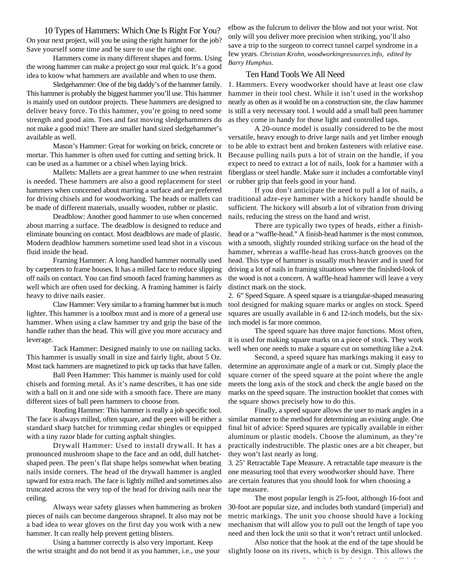10 Types of Hammers: Which One Is Right For You? On your next project, will you be using the right hammer for the job?

Hammers come in many different shapes and forms. Using the wrong hammer can make a project go sour real quick. It's a good idea to know what hammers are available and when to use them.

Save yourself some time and be sure to use the right one.

Sledgehammer: One of the big daddy's of the hammer family. This hammer is probably the biggest hammer you'll use. This hammer is mainly used on outdoor projects. These hammers are designed to deliver heavy force. To this hammer, you're going to need some strength and good aim. Toes and fast moving sledgehammers do not make a good mix! There are smaller hand sized sledgehammer's available as well.

Mason's Hammer: Great for working on brick, concrete or mortar. This hammer is often used for cutting and setting brick. It can be used as a hammer or a chisel when laying brick.

Mallets: Mallets are a great hammer to use when restraint is needed. These hammers are also a good replacement for steel hammers when concerned about marring a surface and are preferred for driving chisels and for woodworking. The heads or mallets can be made of different materials, usually wooden, rubber or plastic.

Deadblow: Another good hammer to use when concerned about marring a surface. The deadblow is designed to reduce and eliminate bouncing on contact. Most deadblows are made of plastic. Modern deadblow hammers sometime used lead shot in a viscous fluid inside the head.

Framing Hammer: A long handled hammer normally used by carpenters to frame houses. It has a milled face to reduce slipping off nails on contact. You can find smooth faced framing hammers as well which are often used for decking. A framing hammer is fairly heavy to drive nails easier.

Claw Hammer: Very similar to a framing hammer but is much lighter. This hammer is a toolbox must and is more of a general use hammer. When using a claw hammer try and grip the base of the handle rather than the head. This will give you more accuracy and leverage.

Tack Hammer: Designed mainly to use on nailing tacks. This hammer is usually small in size and fairly light, about 5 Oz. Most tack hammers are magnetized to pick up tacks that have fallen.

Ball Peen Hammer: This hammer is mainly used for cold chisels and forming metal. As it's name describes, it has one side with a ball on it and one side with a smooth face. There are many different sizes of ball peen hammers to choose from.

Roofing Hammer: This hammer is really a job specific tool. The face is always milled, often square, and the peen will be either a standard sharp hatchet for trimming cedar shingles or equipped with a tiny razor blade for cutting asphalt shingles.

Drywall Hammer: Used to install drywall. It has a pronounced mushroom shape to the face and an odd, dull hatchetshaped peen. The peen's flat shape helps somewhat when beating nails inside corners. The head of the drywall hammer is angled upward for extra reach. The face is lightly milled and sometimes also truncated across the very top of the head for driving nails near the ceiling.

Always wear safety glasses when hammering as broken pieces of nails can become dangerous shrapnel. It also may not be a bad idea to wear gloves on the first day you work with a new hammer. It can really help prevent getting blisters.

Using a hammer correctly is also very important. Keep the wrist straight and do not bend it as you hammer, i.e., use your elbow as the fulcrum to deliver the blow and not your wrist. Not only will you deliver more precision when striking, you'll also save a trip to the surgeon to correct tunnel carpel syndrome in a few years. *Christian Krohn, woodworkingresources.info, edited by Barry Humphus.*

## Ten Hand Tools We All Need

1. Hammers. Every woodworker should have at least one claw hammer in their tool chest. While it isn't used in the workshop nearly as often as it would be on a construction site, the claw hammer is still a very necessary tool. I would add a small ball peen hammer as they come in handy for those light and controlled taps.

A 20-ounce model is usually considered to be the most versatile, heavy enough to drive large nails and yet limber enough to be able to extract bent and broken fasteners with relative ease. Because pulling nails puts a lot of strain on the handle, if you expect to need to extract a lot of nails, look for a hammer with a fiberglass or steel handle. Make sure it includes a comfortable vinyl or rubber grip that feels good in your hand.

If you don't anticipate the need to pull a lot of nails, a traditional adze-eye hammer with a hickory handle should be sufficient. The hickory will absorb a lot of vibration from driving nails, reducing the stress on the hand and wrist.

There are typically two types of heads, either a finishhead or a "waffle-head." A finish-head hammer is the most common, with a smooth, slightly rounded striking surface on the head of the hammer, whereas a waffle-head has cross-hatch grooves on the head. This type of hammer is usually much heavier and is used for driving a lot of nails in framing situations where the finished-look of the wood is not a concern. A waffle-head hammer will leave a very distinct mark on the stock.

2. 6" Speed Square. A speed square is a triangular-shaped measuring tool designed for making square marks or angles on stock. Speed squares are usually available in 6 and 12-inch models, but the sixinch model is far more common.

The speed square has three major functions. Most often, it is used for making square marks on a piece of stock. They work well when one needs to make a square cut on something like a 2x4.

Second, a speed square has markings making it easy to determine an approximate angle of a mark or cut. Simply place the square corner of the speed square at the point where the angle meets the long axis of the stock and check the angle based on the marks on the speed square. The instruction booklet that comes with the square shows precisely how to do this.

Finally, a speed square allows the user to mark angles in a similar manner to the method for determining an existing angle. One final bit of advice: Speed squares are typically available in either aluminum or plastic models. Choose the aluminum, as they're practically indestructible. The plastic ones are a bit cheaper, but they won't last nearly as long.

3. 25' Retractable Tape Measure. A retractable tape measure is the one measuring tool that every woodworker should have. There are certain features that you should look for when choosing a tape measure.

The most popular length is 25-foot, although 16-foot and 30-foot are popular size, and includes both standard (imperial) and metric markings. The unit you choose should have a locking mechanism that will allow you to pull out the length of tape you need and then lock the unit so that it won't retract until unlocked.

Also notice that the hook at the end of the tape should be slightly loose on its rivets, which is by design. This allows the

Page 2 Lake Charles Woodworkers Club, Inc.